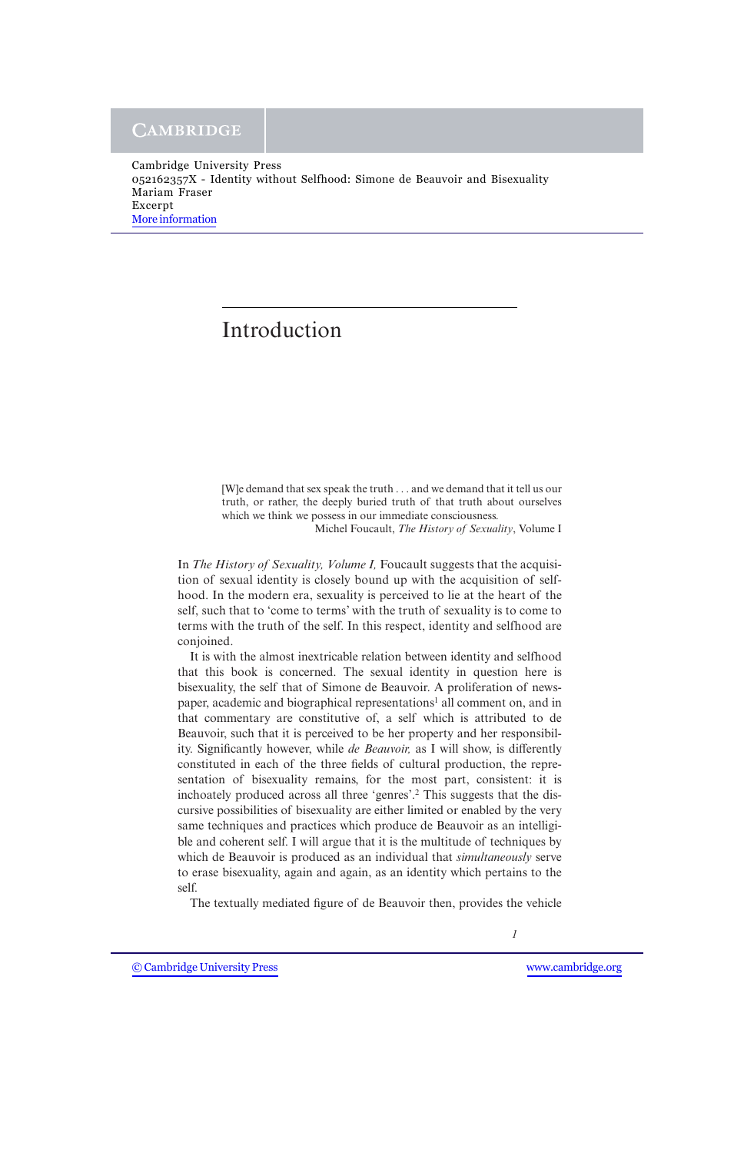# Introduction

[W]e demand that sex speak the truth . . . and we demand that it tell us our truth, or rather, the deeply buried truth of that truth about ourselves which we think we possess in our immediate consciousness.

Michel Foucault, *The History of Sexuality*, Volume I

In *The History of Sexuality, Volume I,* Foucault suggests that the acquisition of sexual identity is closely bound up with the acquisition of selfhood. In the modern era, sexuality is perceived to lie at the heart of the self, such that to 'come to terms' with the truth of sexuality is to come to terms with the truth of the self. In this respect, identity and selfhood are conjoined.

It is with the almost inextricable relation between identity and selfhood that this book is concerned. The sexual identity in question here is bisexuality, the self that of Simone de Beauvoir. A proliferation of newspaper, academic and biographical representations<sup>1</sup> all comment on, and in that commentary are constitutive of, a self which is attributed to de Beauvoir, such that it is perceived to be her property and her responsibility. Significantly however, while *de Beauvoir,* as Iwill show, is differently constituted in each of the three fields of cultural production, the representation of bisexuality remains, for the most part, consistent: it is inchoately produced across all three 'genres'.2 This suggests that the discursive possibilities of bisexuality are either limited or enabled by the very same techniques and practices which produce de Beauvoir as an intelligible and coherent self. I will argue that it is the multitude of techniques by which de Beauvoir is produced as an individual that *simultaneously* serve to erase bisexuality, again and again, as an identity which pertains to the self.

The textually mediated figure of de Beauvoir then, provides the vehicle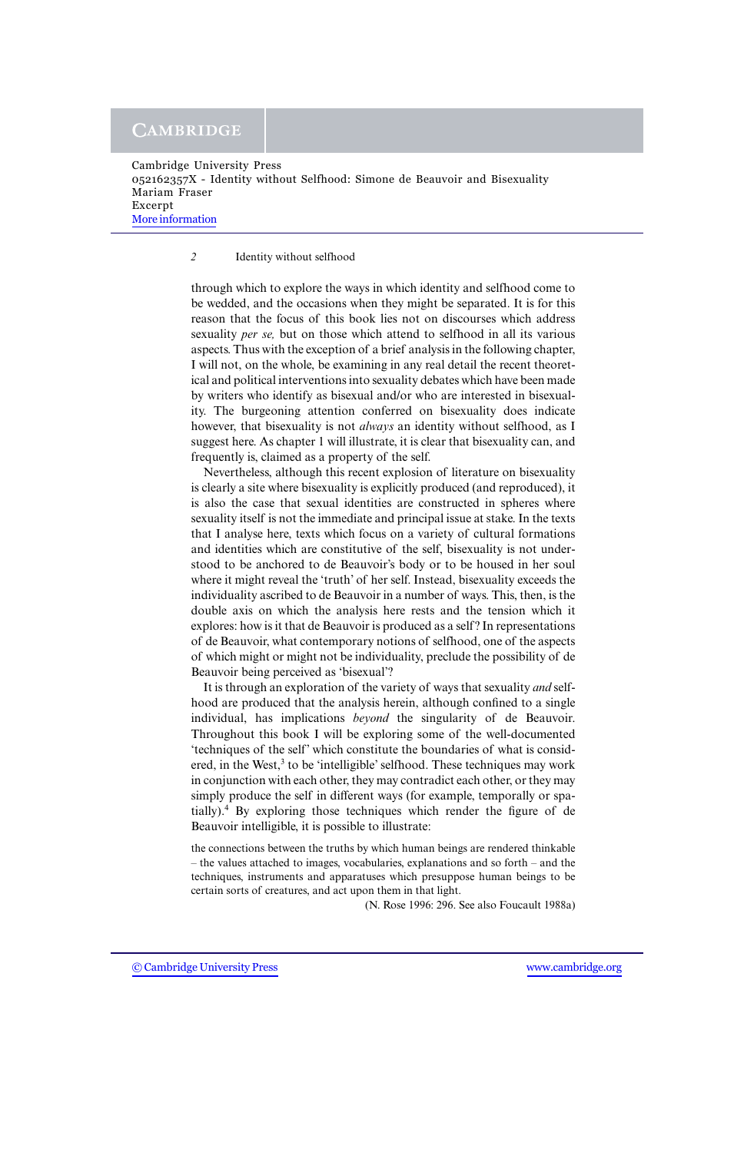# *2* Identity without selfhood

through which to explore the ways in which identity and selfhood come to be wedded, and the occasions when they might be separated. It is for this reason that the focus of this book lies not on discourses which address sexuality *per se,* but on those which attend to selfhood in all its various aspects. Thus with the exception of a brief analysis in the following chapter, I will not, on the whole, be examining in any real detail the recent theoretical and political interventions into sexuality debates which have been made by writers who identify as bisexual and/or who are interested in bisexuality. The burgeoning attention conferred on bisexuality does indicate however, that bisexuality is not *always* an identity without selfhood, as I suggest here. As chapter 1 will illustrate, it is clear that bisexuality can, and frequently is, claimed as a property of the self.

Nevertheless, although this recent explosion of literature on bisexuality is clearly a site where bisexuality is explicitly produced (and reproduced), it is also the case that sexual identities are constructed in spheres where sexuality itself is not the immediate and principal issue at stake. In the texts that I analyse here, texts which focus on a variety of cultural formations and identities which are constitutive of the self, bisexuality is not understood to be anchored to de Beauvoir's body or to be housed in her soul where it might reveal the 'truth' of her self. Instead, bisexuality exceeds the individuality ascribed to de Beauvoir in a number of ways. This, then, is the double axis on which the analysis here rests and the tension which it explores: how is it that de Beauvoir is produced as a self? In representations of de Beauvoir, what contemporary notions of selfhood, one of the aspects of which might or might not be individuality, preclude the possibility of de Beauvoir being perceived as 'bisexual'?

It is through an exploration of the variety of ways that sexuality *and* selfhood are produced that the analysis herein, although confined to a single individual, has implications *beyond* the singularity of de Beauvoir. Throughout this book I will be exploring some of the well-documented 'techniques of the self' which constitute the boundaries of what is considered, in the West, $3$  to be 'intelligible' selfhood. These techniques may work in conjunction with each other, they may contradict each other, or they may simply produce the self in different ways (for example, temporally or spatially).4 By exploring those techniques which render the figure of de Beauvoir intelligible, it is possible to illustrate:

the connections between the truths by which human beings are rendered thinkable – the values attached to images, vocabularies, explanations and so forth – and the techniques, instruments and apparatuses which presuppose human beings to be certain sorts of creatures, and act upon them in that light.

(N. Rose 1996: 296. See also Foucault 1988a)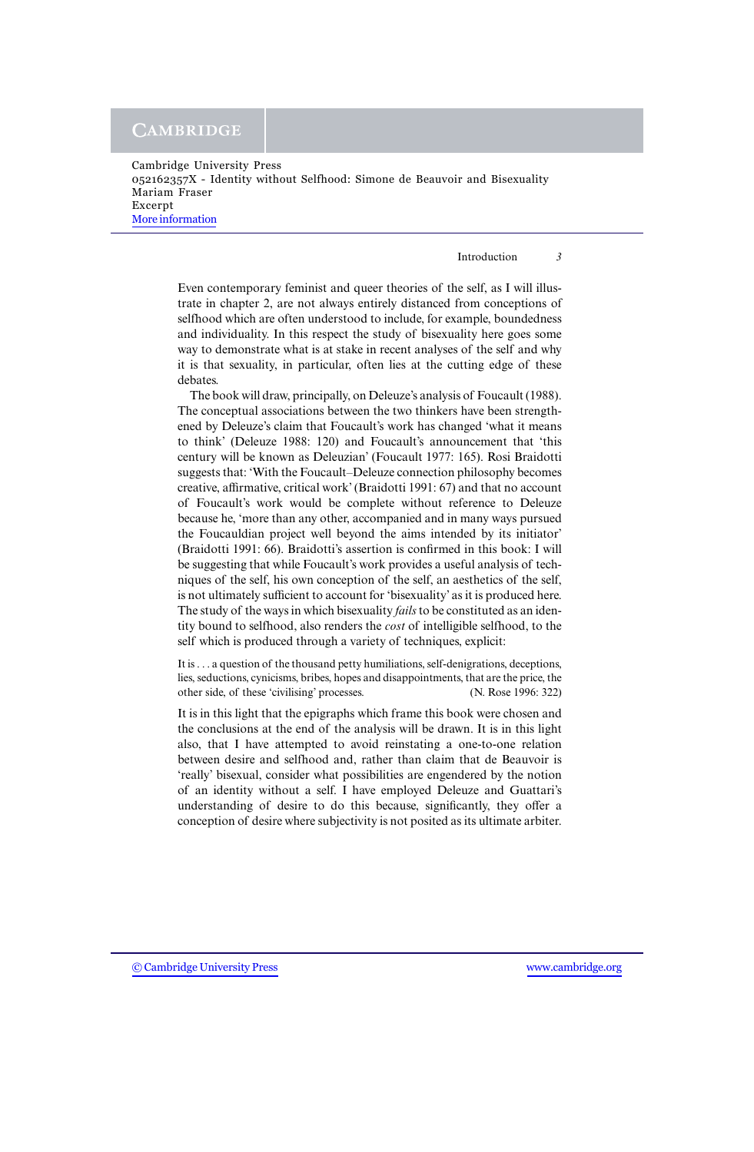Introduction *3*

Even contemporary feminist and queer theories of the self, as I will illustrate in chapter 2, are not always entirely distanced from conceptions of selfhood which are often understood to include, for example, boundedness and individuality. In this respect the study of bisexuality here goes some way to demonstrate what is at stake in recent analyses of the self and why it is that sexuality, in particular, often lies at the cutting edge of these debates.

The book will draw, principally, on Deleuze's analysis of Foucault (1988). The conceptual associations between the two thinkers have been strengthened by Deleuze's claim that Foucault's work has changed 'what it means to think' (Deleuze 1988: 120) and Foucault's announcement that 'this century will be known as Deleuzian' (Foucault 1977: 165). Rosi Braidotti suggests that: 'With the Foucault–Deleuze connection philosophy becomes creative, affirmative, critical work' (Braidotti 1991: 67) and that no account of Foucault's work would be complete without reference to Deleuze because he, 'more than any other, accompanied and in many ways pursued the Foucauldian project well beyond the aims intended by its initiator' (Braidotti 1991: 66). Braidotti's assertion is confirmed in this book: Iwill be suggesting that while Foucault's work provides a useful analysis of techniques of the self, his own conception of the self, an aesthetics of the self, is not ultimately sufficient to account for 'bisexuality' as it is produced here. The study of the ways in which bisexuality *fails*to be constituted as an identity bound to selfhood, also renders the *cost* of intelligible selfhood, to the self which is produced through a variety of techniques, explicit:

It is . . . a question of the thousand petty humiliations, self-denigrations, deceptions, lies, seductions, cynicisms, bribes, hopes and disappointments, that are the price, the other side, of these 'civilising' processes. (N. Rose 1996: 322)

It is in this light that the epigraphs which frame this book were chosen and the conclusions at the end of the analysis will be drawn. It is in this light also, that I have attempted to avoid reinstating a one-to-one relation between desire and selfhood and, rather than claim that de Beauvoir is 'really' bisexual, consider what possibilities are engendered by the notion of an identity without a self. I have employed Deleuze and Guattari's understanding of desire to do this because, significantly, they offer a conception of desire where subjectivity is not posited as its ultimate arbiter.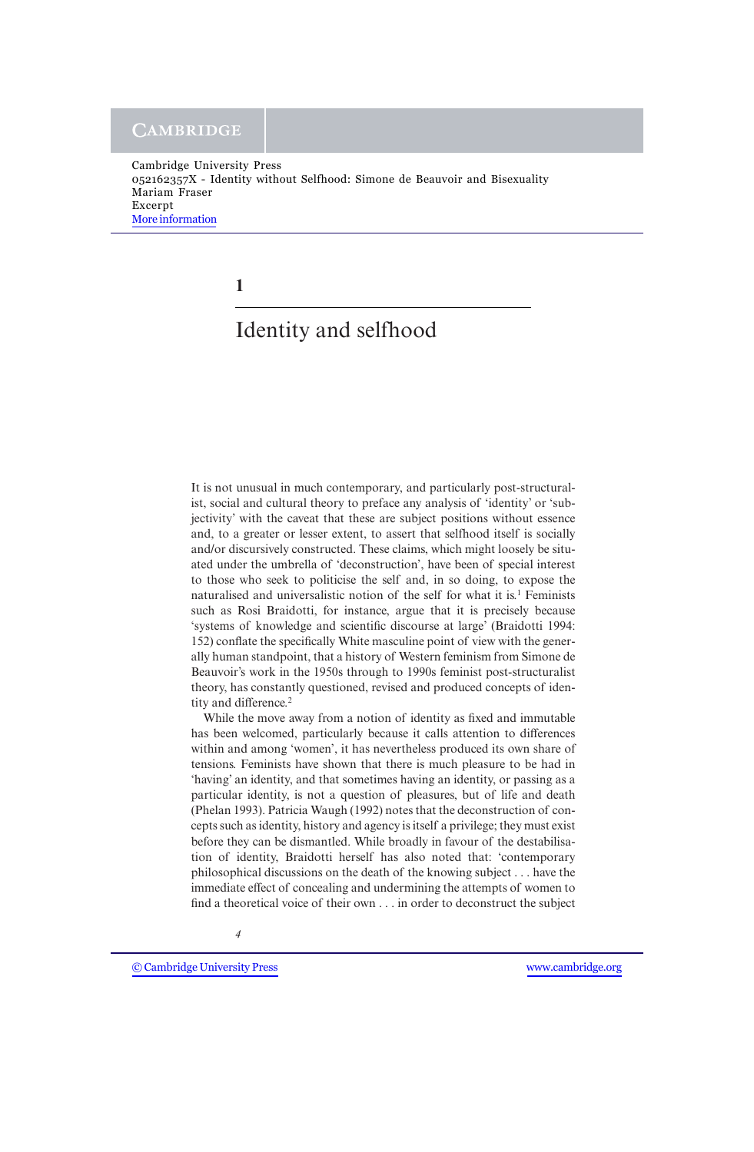**1**

Cambridge University Press 052162357X - Identity without Selfhood: Simone de Beauvoir and Bisexuality Mariam Fraser Excerpt [More information](http://www.cambridge.org/052162357X)

# Identity and selfhood

It is not unusual in much contemporary, and particularly post-structuralist, social and cultural theory to preface any analysis of 'identity' or 'subjectivity' with the caveat that these are subject positions without essence and, to a greater or lesser extent, to assert that selfhood itself is socially and/or discursively constructed. These claims, which might loosely be situated under the umbrella of 'deconstruction', have been of special interest to those who seek to politicise the self and, in so doing, to expose the naturalised and universalistic notion of the self for what it is.<sup>1</sup> Feminists such as Rosi Braidotti, for instance, argue that it is precisely because 'systems of knowledge and scientific discourse at large' (Braidotti 1994: 152) conflate the specifically White masculine point of view with the generally human standpoint, that a history of Western feminism from Simone de Beauvoir's work in the 1950s through to 1990s feminist post-structuralist theory, has constantly questioned, revised and produced concepts of identity and difference.<sup>2</sup>

While the move away from a notion of identity as fixed and immutable has been welcomed, particularly because it calls attention to differences within and among 'women', it has nevertheless produced its own share of tensions. Feminists have shown that there is much pleasure to be had in 'having' an identity, and that sometimes having an identity, or passing as a particular identity, is not a question of pleasures, but of life and death (Phelan 1993). Patricia Waugh (1992) notes that the deconstruction of concepts such as identity, history and agency is itself a privilege; they must exist before they can be dismantled. While broadly in favour of the destabilisation of identity, Braidotti herself has also noted that: 'contemporary philosophical discussions on the death of the knowing subject . . . have the immediate effect of concealing and undermining the attempts of women to find a theoretical voice of their own . . . in order to deconstruct the subject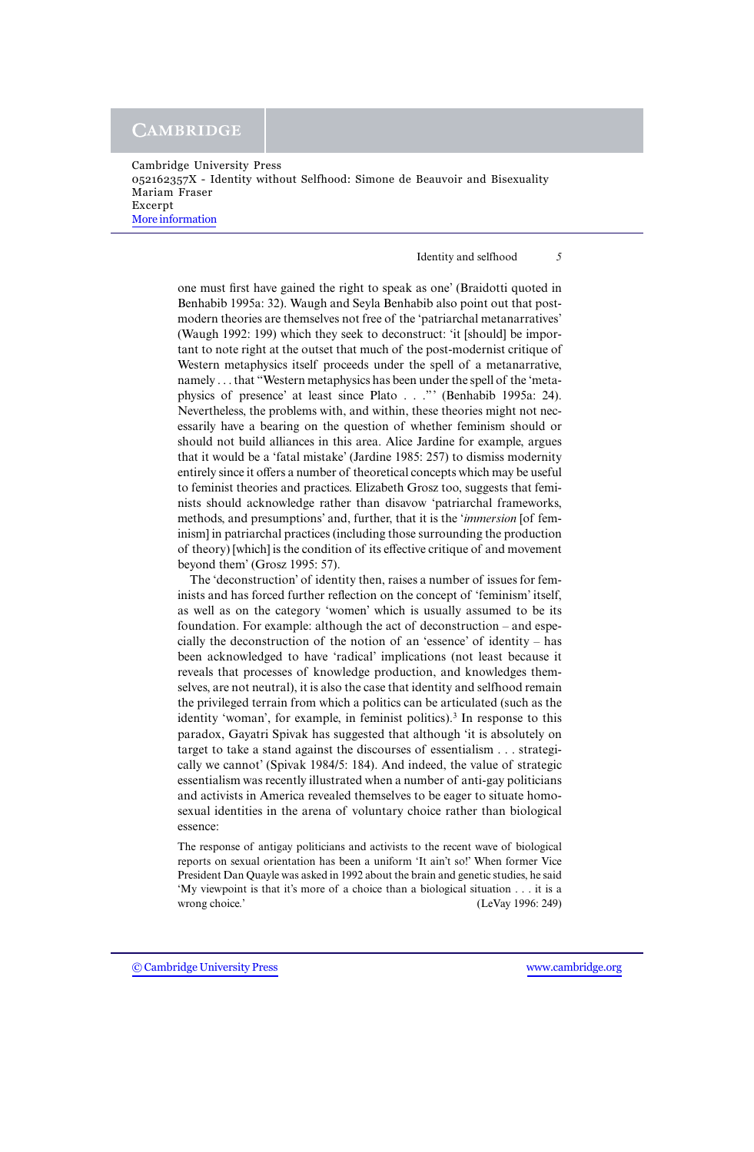Identity and selfhood *5*

one must first have gained the right to speak as one' (Braidotti quoted in Benhabib 1995a: 32). Waugh and Seyla Benhabib also point out that postmodern theories are themselves not free of the 'patriarchal metanarratives' (Waugh 1992: 199) which they seek to deconstruct: 'it [should] be important to note right at the outset that much of the post-modernist critique of Western metaphysics itself proceeds under the spell of a metanarrative, namely . . . that "Western metaphysics has been under the spell of the 'metaphysics of presence' at least since Plato . . ."' (Benhabib 1995a: 24). Nevertheless, the problems with, and within, these theories might not necessarily have a bearing on the question of whether feminism should or should not build alliances in this area. Alice Jardine for example, argues that it would be a 'fatal mistake' (Jardine 1985: 257) to dismiss modernity entirely since it offers a number of theoretical concepts which may be useful to feminist theories and practices. Elizabeth Grosz too, suggests that feminists should acknowledge rather than disavow 'patriarchal frameworks, methods, and presumptions' and, further, that it is the '*immersion* [of feminism] in patriarchal practices (including those surrounding the production of theory) [which] is the condition of its effective critique of and movement beyond them' (Grosz 1995: 57).

The 'deconstruction' of identity then, raises a number of issues for feminists and has forced further reflection on the concept of 'feminism' itself, as well as on the category 'women' which is usually assumed to be its foundation. For example: although the act of deconstruction – and especially the deconstruction of the notion of an 'essence' of identity – has been acknowledged to have 'radical' implications (not least because it reveals that processes of knowledge production, and knowledges themselves, are not neutral), it is also the case that identity and selfhood remain the privileged terrain from which a politics can be articulated (such as the identity 'woman', for example, in feminist politics).<sup>3</sup> In response to this paradox, Gayatri Spivak has suggested that although 'it is absolutely on target to take a stand against the discourses of essentialism . . . strategically we cannot' (Spivak 1984/5: 184). And indeed, the value of strategic essentialism was recently illustrated when a number of anti-gay politicians and activists in America revealed themselves to be eager to situate homosexual identities in the arena of voluntary choice rather than biological essence:

The response of antigay politicians and activists to the recent wave of biological reports on sexual orientation has been a uniform 'It ain't so!' When former Vice President Dan Quayle was asked in 1992 about the brain and genetic studies, he said 'My viewpoint is that it's more of a choice than a biological situation . . . it is a wrong choice.' (LeVay 1996: 249)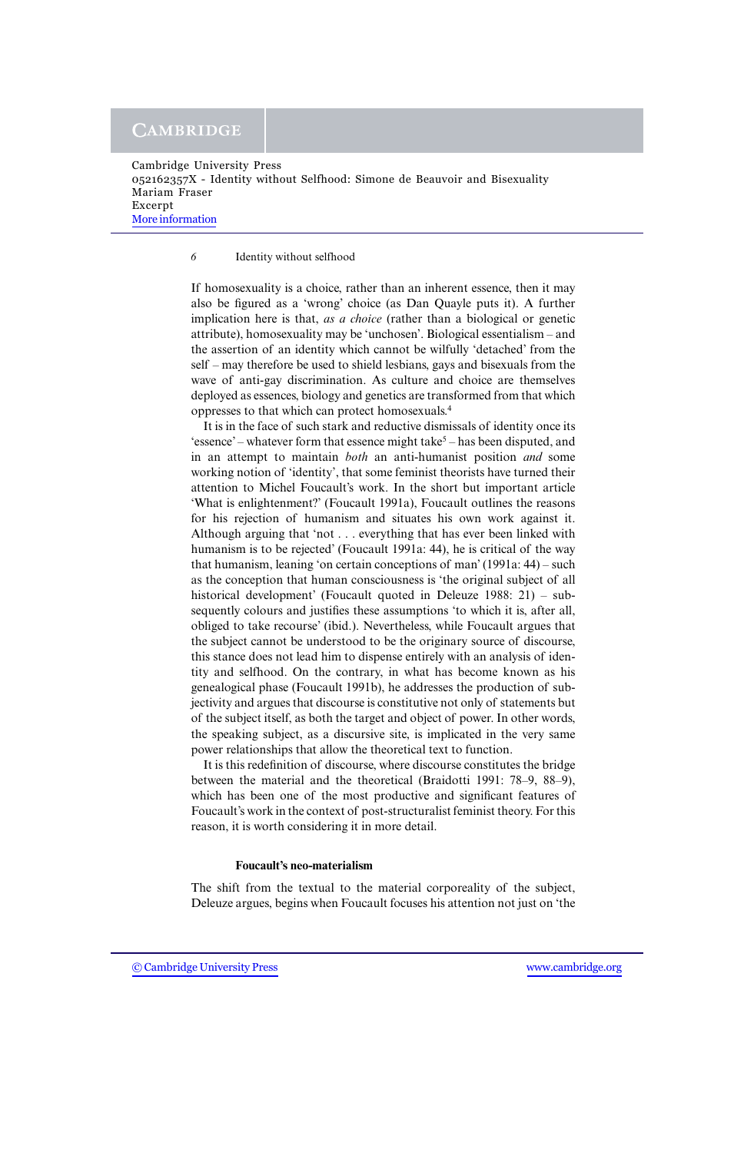#### *6* Identity without selfhood

If homosexuality is a choice, rather than an inherent essence, then it may also be figured as a 'wrong' choice (as Dan Quayle puts it). A further implication here is that, *as a choice* (rather than a biological or genetic attribute), homosexuality may be 'unchosen'. Biological essentialism – and the assertion of an identity which cannot be wilfully 'detached' from the self – may therefore be used to shield lesbians, gays and bisexuals from the wave of anti-gay discrimination. As culture and choice are themselves deployed as essences, biology and genetics are transformed from that which oppresses to that which can protect homosexuals.4

It is in the face of such stark and reductive dismissals of identity once its 'essence' – whatever form that essence might take<sup>5</sup> – has been disputed, and in an attempt to maintain *both* an anti-humanist position *and* some working notion of 'identity', that some feminist theorists have turned their attention to Michel Foucault's work. In the short but important article 'What is enlightenment?' (Foucault 1991a), Foucault outlines the reasons for his rejection of humanism and situates his own work against it. Although arguing that 'not . . . everything that has ever been linked with humanism is to be rejected' (Foucault 1991a: 44), he is critical of the way that humanism, leaning 'on certain conceptions of man' (1991a: 44) – such as the conception that human consciousness is 'the original subject of all historical development' (Foucault quoted in Deleuze 1988: 21) – subsequently colours and justifies these assumptions 'to which it is, after all, obliged to take recourse' (ibid.). Nevertheless, while Foucault argues that the subject cannot be understood to be the originary source of discourse, this stance does not lead him to dispense entirely with an analysis of identity and selfhood. On the contrary, in what has become known as his genealogical phase (Foucault 1991b), he addresses the production of subjectivity and argues that discourse is constitutive not only of statements but of the subject itself, as both the target and object of power. In other words, the speaking subject, as a discursive site, is implicated in the very same power relationships that allow the theoretical text to function.

It is this redefinition of discourse, where discourse constitutes the bridge between the material and the theoretical (Braidotti 1991: 78–9, 88–9), which has been one of the most productive and significant features of Foucault's work in the context of post-structuralist feminist theory. For this reason, it is worth considering it in more detail.

#### **Foucault's neo-materialism**

The shift from the textual to the material corporeality of the subject, Deleuze argues, begins when Foucault focuses his attention not just on 'the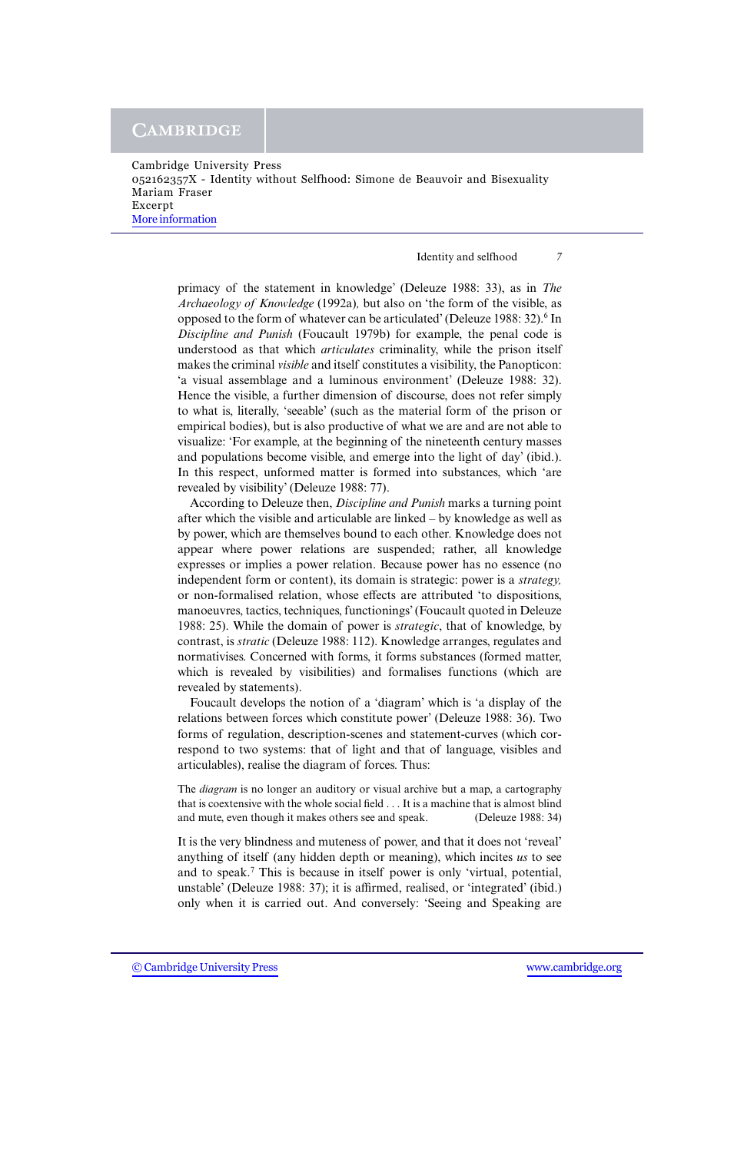Identity and selfhood *7*

primacy of the statement in knowledge' (Deleuze 1988: 33), as in *The Archaeology of Knowledge* (1992a)*,* but also on 'the form of the visible, as opposed to the form of whatever can be articulated' (Deleuze 1988: 32).<sup>6</sup> In *Discipline and Punish* (Foucault 1979b) for example, the penal code is understood as that which *articulates* criminality, while the prison itself makes the criminal *visible* and itself constitutes a visibility, the Panopticon: 'a visual assemblage and a luminous environment' (Deleuze 1988: 32). Hence the visible, a further dimension of discourse, does not refer simply to what is, literally, 'seeable' (such as the material form of the prison or empirical bodies), but is also productive of what we are and are not able to visualize: 'For example, at the beginning of the nineteenth century masses and populations become visible, and emerge into the light of day' (ibid.). In this respect, unformed matter is formed into substances, which 'are revealed by visibility' (Deleuze 1988: 77).

According to Deleuze then, *Discipline and Punish* marks a turning point after which the visible and articulable are linked – by knowledge as well as by power, which are themselves bound to each other. Knowledge does not appear where power relations are suspended; rather, all knowledge expresses or implies a power relation. Because power has no essence (no independent form or content), its domain is strategic: power is a *strategy,* or non-formalised relation, whose effects are attributed 'to dispositions, manoeuvres, tactics, techniques, functionings' (Foucault quoted in Deleuze 1988: 25). While the domain of power is *strategic*, that of knowledge, by contrast, is *stratic* (Deleuze 1988: 112). Knowledge arranges, regulates and normativises. Concerned with forms, it forms substances (formed matter, which is revealed by visibilities) and formalises functions (which are revealed by statements).

Foucault develops the notion of a 'diagram' which is 'a display of the relations between forces which constitute power' (Deleuze 1988: 36). Two forms of regulation, description-scenes and statement-curves (which correspond to two systems: that of light and that of language, visibles and articulables), realise the diagram of forces. Thus:

The *diagram* is no longer an auditory or visual archive but a map, a cartography that is coextensive with the whole social field . . . It is a machine that is almost blind and mute, even though it makes others see and speak. (Deleuze 1988: 34)

It is the very blindness and muteness of power, and that it does not 'reveal' anything of itself (any hidden depth or meaning), which incites *us* to see and to speak.7 This is because in itself power is only 'virtual, potential, unstable' (Deleuze 1988: 37); it is affirmed, realised, or 'integrated' (ibid.) only when it is carried out. And conversely: 'Seeing and Speaking are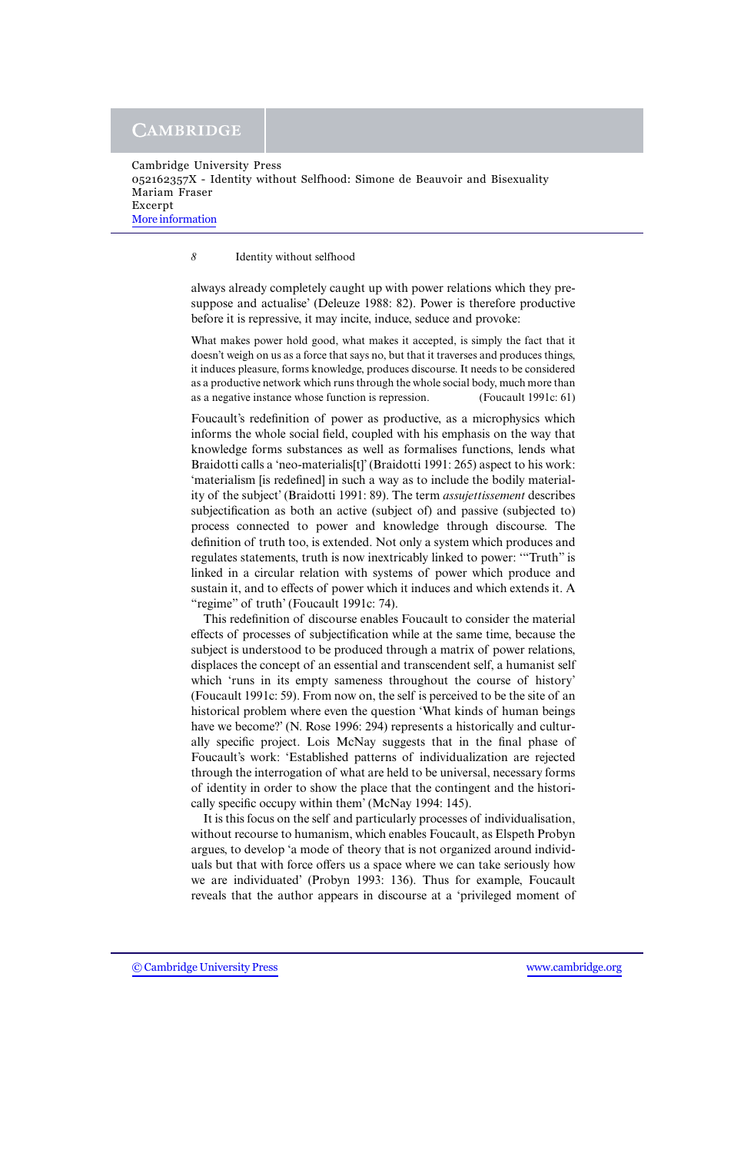# *8* Identity without selfhood

always already completely caught up with power relations which they presuppose and actualise' (Deleuze 1988: 82). Power is therefore productive before it is repressive, it may incite, induce, seduce and provoke:

What makes power hold good, what makes it accepted, is simply the fact that it doesn't weigh on us as a force that says no, but that it traverses and produces things, it induces pleasure, forms knowledge, produces discourse. It needs to be considered as a productive network which runs through the whole social body, much more than as a negative instance whose function is repression. (Foucault 1991c: 61)

Foucault's redefinition of power as productive, as a microphysics which informs the whole social field, coupled with his emphasis on the way that knowledge forms substances as well as formalises functions, lends what Braidotti calls a 'neo-materialis[t]' (Braidotti 1991: 265) aspect to his work: 'materialism [is redefined] in such a way as to include the bodily materiality of the subject' (Braidotti 1991: 89). The term *assujettissement* describes subjectification as both an active (subject of) and passive (subjected to) process connected to power and knowledge through discourse. The definition of truth too, is extended. Not only a system which produces and regulates statements, truth is now inextricably linked to power: '"Truth" is linked in a circular relation with systems of power which produce and sustain it, and to effects of power which it induces and which extends it. A "regime" of truth' (Foucault 1991c: 74).

This redefinition of discourse enables Foucault to consider the material effects of processes of subjectification while at the same time, because the subject is understood to be produced through a matrix of power relations, displaces the concept of an essential and transcendent self, a humanist self which 'runs in its empty sameness throughout the course of history' (Foucault 1991c: 59). From now on, the self is perceived to be the site of an historical problem where even the question 'What kinds of human beings have we become?' (N. Rose 1996: 294) represents a historically and culturally specific project. Lois McNay suggests that in the final phase of Foucault's work: 'Established patterns of individualization are rejected through the interrogation of what are held to be universal, necessary forms of identity in order to show the place that the contingent and the historically specific occupy within them' (McNay 1994: 145).

It is this focus on the self and particularly processes of individualisation, without recourse to humanism, which enables Foucault, as Elspeth Probyn argues, to develop 'a mode of theory that is not organized around individuals but that with force offers us a space where we can take seriously how we are individuated' (Probyn 1993: 136). Thus for example, Foucault reveals that the author appears in discourse at a 'privileged moment of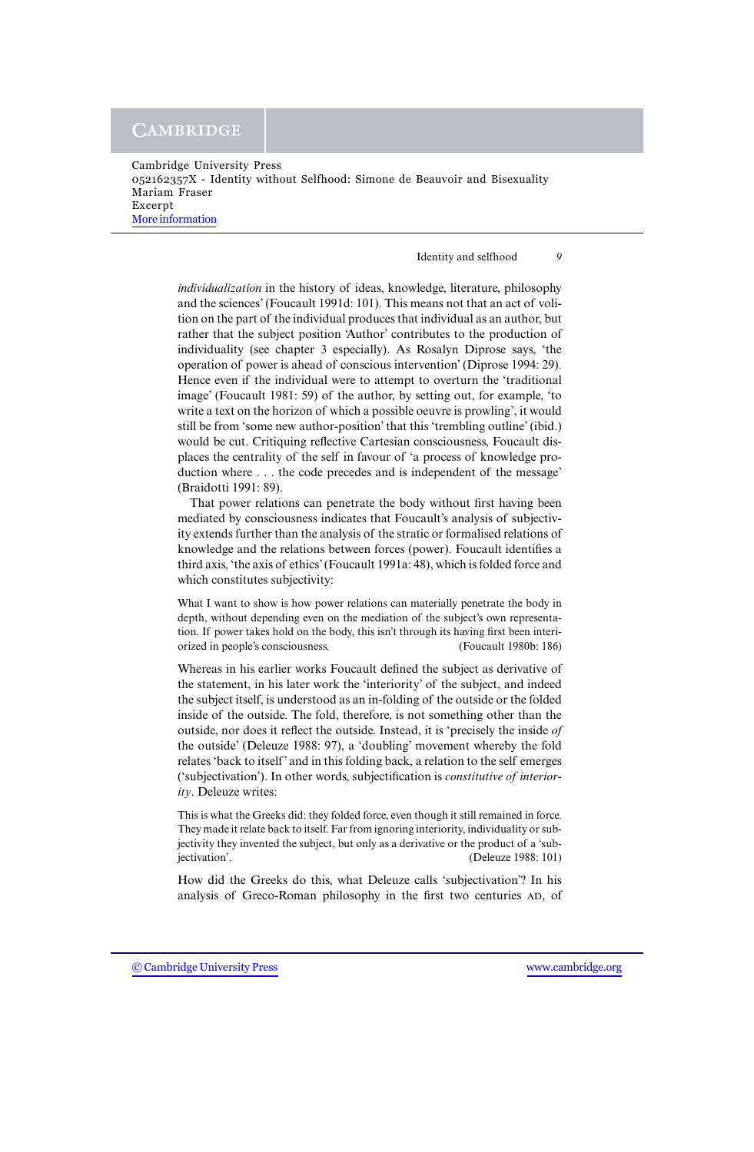Identity and selfhood *9*

*individualization* in the history of ideas, knowledge, literature, philosophy and the sciences' (Foucault 1991d: 101). This means not that an act of volition on the part of the individual produces that individual as an author, but rather that the subject position 'Author' contributes to the production of individuality (see chapter 3 especially). As Rosalyn Diprose says, 'the operation of power is ahead of conscious intervention' (Diprose 1994: 29). Hence even if the individual were to attempt to overturn the 'traditional image' (Foucault 1981: 59) of the author, by setting out, for example, 'to write a text on the horizon of which a possible oeuvre is prowling', it would still be from 'some new author-position' that this 'trembling outline' (ibid.) would be cut. Critiquing reflective Cartesian consciousness, Foucault displaces the centrality of the self in favour of 'a process of knowledge production where . . . the code precedes and is independent of the message' (Braidotti 1991: 89).

That power relations can penetrate the body without first having been mediated by consciousness indicates that Foucault's analysis of subjectivity extends further than the analysis of the stratic or formalised relations of knowledge and the relations between forces (power). Foucault identifies a third axis, 'the axis of ethics' (Foucault 1991a: 48), which is folded force and which constitutes subjectivity:

What I want to show is how power relations can materially penetrate the body in depth, without depending even on the mediation of the subject's own representation. If power takes hold on the body, this isn't through its having first been interiorized in people's consciousness. (Foucault 1980b: 186)

Whereas in his earlier works Foucault defined the subject as derivative of the statement, in his later work the 'interiority' of the subject, and indeed the subject itself, is understood as an in-folding of the outside or the folded inside of the outside. The fold, therefore, is not something other than the outside, nor does it reflect the outside. Instead, it is 'precisely the inside *of* the outside' (Deleuze 1988: 97), a 'doubling' movement whereby the fold relates 'back to itself' and in this folding back, a relation to the self emerges ('subjectivation'). In other words, subjectification is *constitutive of interiority*. Deleuze writes:

This is what the Greeks did: they folded force, even though it still remained in force. They made it relate back to itself. Far from ignoring interiority, individuality or subjectivity they invented the subject, but only as a derivative or the product of a 'subjectivation'. (Deleuze 1988: 101)

How did the Greeks do this, what Deleuze calls 'subjectivation'? In his analysis of Greco-Roman philosophy in the first two centuries AD, of